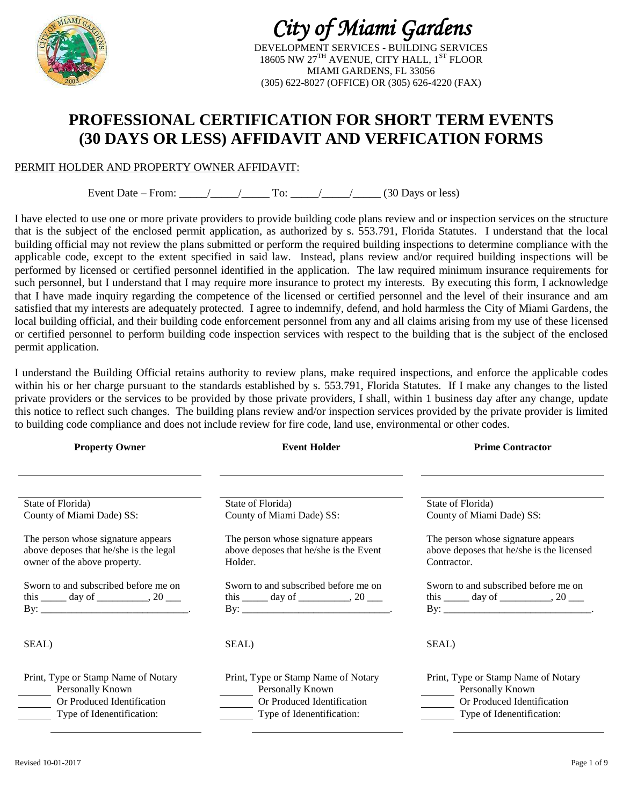

# *City of Miami Gardens*

DEVELOPMENT SERVICES - BUILDING SERVICES 18605 NW 27<sup>TH</sup> AVENUE, CITY HALL, 1<sup>ST</sup> FLOOR MIAMI GARDENS, FL 33056 (305) 622-8027 (OFFICE) OR (305) 626-4220 (FAX)

## **PROFESSIONAL CERTIFICATION FOR SHORT TERM EVENTS (30 DAYS OR LESS) AFFIDAVIT AND VERFICATION FORMS**

#### PERMIT HOLDER AND PROPERTY OWNER AFFIDAVIT:

Event Date – From:  $\angle$  / To:  $\angle$  / (30 Days or less)

I have elected to use one or more private providers to provide building code plans review and or inspection services on the structure that is the subject of the enclosed permit application, as authorized by s. 553.791, Florida Statutes. I understand that the local building official may not review the plans submitted or perform the required building inspections to determine compliance with the applicable code, except to the extent specified in said law. Instead, plans review and/or required building inspections will be performed by licensed or certified personnel identified in the application. The law required minimum insurance requirements for such personnel, but I understand that I may require more insurance to protect my interests. By executing this form, I acknowledge that I have made inquiry regarding the competence of the licensed or certified personnel and the level of their insurance and am satisfied that my interests are adequately protected. I agree to indemnify, defend, and hold harmless the City of Miami Gardens, the local building official, and their building code enforcement personnel from any and all claims arising from my use of these licensed or certified personnel to perform building code inspection services with respect to the building that is the subject of the enclosed permit application.

I understand the Building Official retains authority to review plans, make required inspections, and enforce the applicable codes within his or her charge pursuant to the standards established by s. 553.791, Florida Statutes. If I make any changes to the listed private providers or the services to be provided by those private providers, I shall, within 1 business day after any change, update this notice to reflect such changes. The building plans review and/or inspection services provided by the private provider is limited to building code compliance and does not include review for fire code, land use, environmental or other codes.

| <b>Property Owner</b>                                                                                              | <b>Event Holder</b>                                                                                                | <b>Prime Contractor</b>                                                                                            |
|--------------------------------------------------------------------------------------------------------------------|--------------------------------------------------------------------------------------------------------------------|--------------------------------------------------------------------------------------------------------------------|
|                                                                                                                    |                                                                                                                    |                                                                                                                    |
| State of Florida)<br>County of Miami Dade) SS:                                                                     | State of Florida)<br>County of Miami Dade) SS:                                                                     | State of Florida)<br>County of Miami Dade) SS:                                                                     |
| The person whose signature appears<br>above deposes that he/she is the legal<br>owner of the above property.       | The person whose signature appears<br>above deposes that he/she is the Event<br>Holder.                            | The person whose signature appears<br>above deposes that he/she is the licensed<br>Contractor.                     |
| Sworn to and subscribed before me on                                                                               | Sworn to and subscribed before me on                                                                               | Sworn to and subscribed before me on<br>this $\_\_\_\_$ day of $\_\_\_\_\_\_$ , 20 $\_\_\_\_\_\$                   |
| SEAL)                                                                                                              | SEAL)                                                                                                              | SEAL)                                                                                                              |
| Print, Type or Stamp Name of Notary<br>Personally Known<br>Or Produced Identification<br>Type of Idenentification: | Print, Type or Stamp Name of Notary<br>Personally Known<br>Or Produced Identification<br>Type of Idenentification: | Print, Type or Stamp Name of Notary<br>Personally Known<br>Or Produced Identification<br>Type of Idenentification: |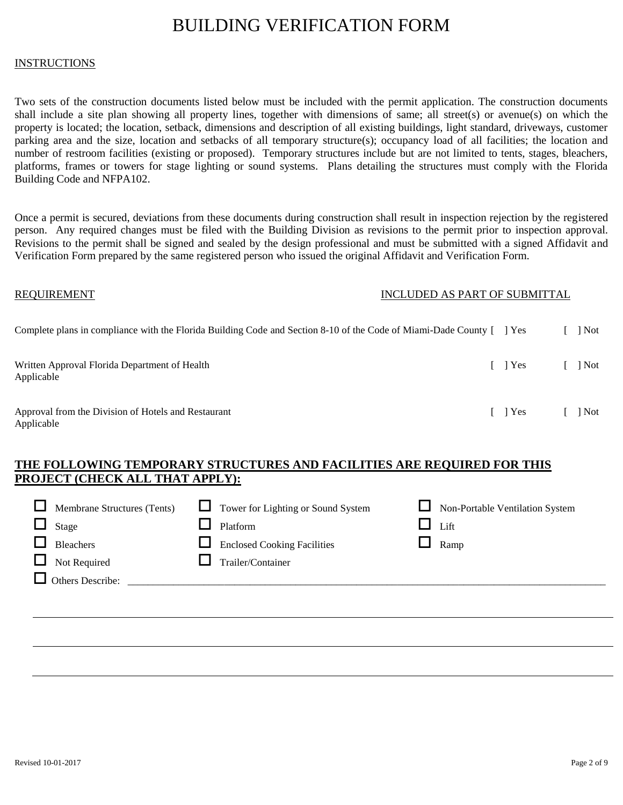## BUILDING VERIFICATION FORM

#### **INSTRUCTIONS**

Two sets of the construction documents listed below must be included with the permit application. The construction documents shall include a site plan showing all property lines, together with dimensions of same; all street(s) or avenue(s) on which the property is located; the location, setback, dimensions and description of all existing buildings, light standard, driveways, customer parking area and the size, location and setbacks of all temporary structure(s); occupancy load of all facilities; the location and number of restroom facilities (existing or proposed). Temporary structures include but are not limited to tents, stages, bleachers, platforms, frames or towers for stage lighting or sound systems. Plans detailing the structures must comply with the Florida Building Code and NFPA102.

Once a permit is secured, deviations from these documents during construction shall result in inspection rejection by the registered person. Any required changes must be filed with the Building Division as revisions to the permit prior to inspection approval. Revisions to the permit shall be signed and sealed by the design professional and must be submitted with a signed Affidavit and Verification Form prepared by the same registered person who issued the original Affidavit and Verification Form.

| <b>REQUIREMENT</b>                                                                                                   | INCLUDED AS PART OF SUBMITTAL |         |     |
|----------------------------------------------------------------------------------------------------------------------|-------------------------------|---------|-----|
| Complete plans in compliance with the Florida Building Code and Section 8-10 of the Code of Miami-Dade County [] Yes |                               |         | Not |
| Written Approval Florida Department of Health<br>Applicable                                                          |                               | I l Yes | Not |
| Approval from the Division of Hotels and Restaurant<br>Applicable                                                    |                               | [ ] Yes | Not |

#### **THE FOLLOWING TEMPORARY STRUCTURES AND FACILITIES ARE REQUIRED FOR THIS PROJECT (CHECK ALL THAT APPLY):**

| Membrane Structures (Tents) | $\Box$ Tower for Lighting or Sound System | Non-Portable Ventilation System |
|-----------------------------|-------------------------------------------|---------------------------------|
| Stage                       | Platform                                  | Lift                            |
| <b>Bleachers</b>            | <b>Enclosed Cooking Facilities</b>        | Ramp                            |
| Not Required                | Trailer/Container                         |                                 |
| Others Describe:            |                                           |                                 |
|                             |                                           |                                 |
|                             |                                           |                                 |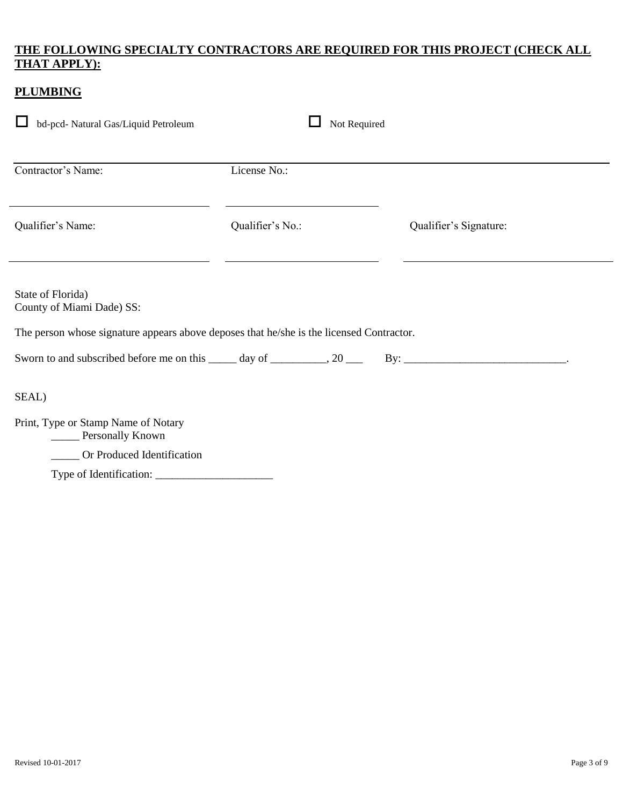#### **THE FOLLOWING SPECIALTY CONTRACTORS ARE REQUIRED FOR THIS PROJECT (CHECK ALL THAT APPLY):**

| <b>PLUMBING</b>                                                                                                                            |                  |                        |
|--------------------------------------------------------------------------------------------------------------------------------------------|------------------|------------------------|
| bd-pcd- Natural Gas/Liquid Petroleum                                                                                                       | Not Required     |                        |
| Contractor's Name:                                                                                                                         | License No.:     |                        |
| Qualifier's Name:                                                                                                                          | Qualifier's No.: | Qualifier's Signature: |
| State of Florida)<br>County of Miami Dade) SS:<br>The person whose signature appears above deposes that he/she is the licensed Contractor. |                  |                        |
| SEAL)                                                                                                                                      |                  |                        |
| Print, Type or Stamp Name of Notary<br><b>Example 2</b> Personally Known                                                                   |                  |                        |
| ____ Or Produced Identification                                                                                                            |                  |                        |
|                                                                                                                                            |                  |                        |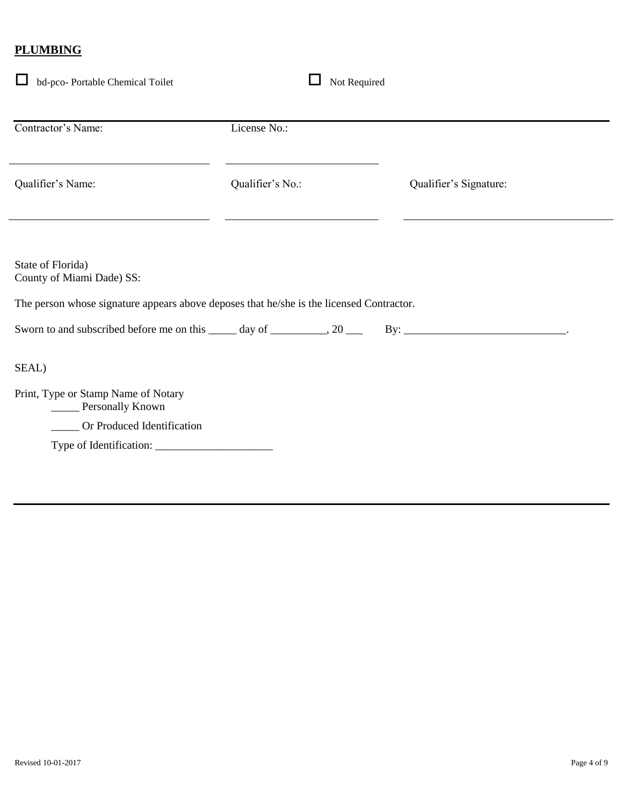### **PLUMBING**

| Contractor's Name:                                                                                                                                                                                                       | License No.:     |                        |
|--------------------------------------------------------------------------------------------------------------------------------------------------------------------------------------------------------------------------|------------------|------------------------|
| Qualifier's Name:                                                                                                                                                                                                        | Qualifier's No.: | Qualifier's Signature: |
|                                                                                                                                                                                                                          |                  |                        |
|                                                                                                                                                                                                                          |                  |                        |
|                                                                                                                                                                                                                          |                  |                        |
|                                                                                                                                                                                                                          |                  |                        |
|                                                                                                                                                                                                                          |                  |                        |
|                                                                                                                                                                                                                          |                  |                        |
| Personally Known                                                                                                                                                                                                         |                  |                        |
| State of Florida)<br>County of Miami Dade) SS:<br>The person whose signature appears above deposes that he/she is the licensed Contractor.<br>SEAL)<br>Print, Type or Stamp Name of Notary<br>Or Produced Identification |                  |                        |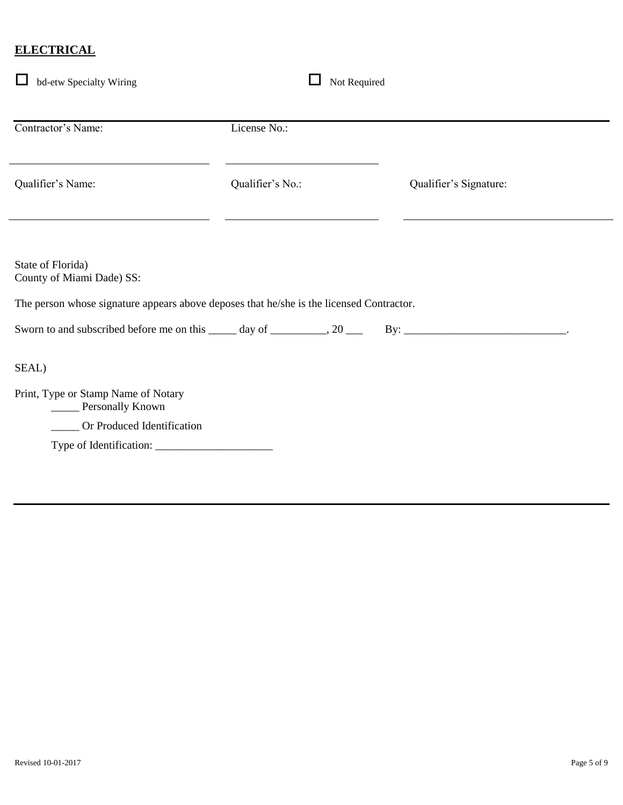### **ELECTRICAL**

| Contractor's Name:                                                                                                                                                                                                       | License No.:     |                        |  |
|--------------------------------------------------------------------------------------------------------------------------------------------------------------------------------------------------------------------------|------------------|------------------------|--|
| Qualifier's Name:                                                                                                                                                                                                        | Qualifier's No.: | Qualifier's Signature: |  |
|                                                                                                                                                                                                                          |                  |                        |  |
|                                                                                                                                                                                                                          |                  |                        |  |
|                                                                                                                                                                                                                          |                  |                        |  |
|                                                                                                                                                                                                                          |                  |                        |  |
|                                                                                                                                                                                                                          |                  |                        |  |
|                                                                                                                                                                                                                          |                  |                        |  |
| Personally Known                                                                                                                                                                                                         |                  |                        |  |
| State of Florida)<br>County of Miami Dade) SS:<br>The person whose signature appears above deposes that he/she is the licensed Contractor.<br>SEAL)<br>Print, Type or Stamp Name of Notary<br>Or Produced Identification |                  |                        |  |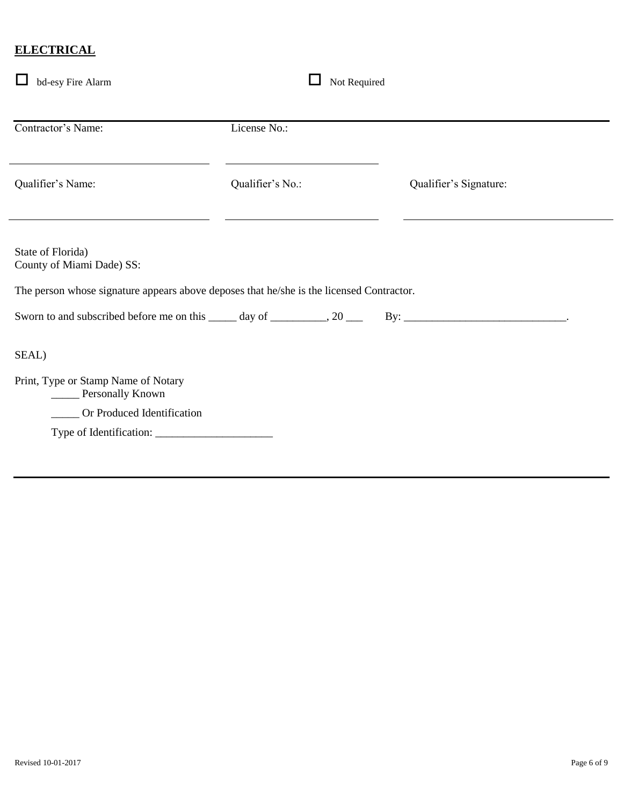#### **ELECTRICAL**

| bd-esy Fire Alarm                                                                                                                                                                                                        | Not Required     |                        |
|--------------------------------------------------------------------------------------------------------------------------------------------------------------------------------------------------------------------------|------------------|------------------------|
| Contractor's Name:                                                                                                                                                                                                       | License No.:     |                        |
| Qualifier's Name:                                                                                                                                                                                                        | Qualifier's No.: | Qualifier's Signature: |
| State of Florida)<br>County of Miami Dade) SS:<br>The person whose signature appears above deposes that he/she is the licensed Contractor.<br>Sworn to and subscribed before me on this ______ day of __________, 20 ___ |                  |                        |
| SEAL)<br>Print, Type or Stamp Name of Notary<br>_____ Personally Known<br>_____ Or Produced Identification                                                                                                               |                  |                        |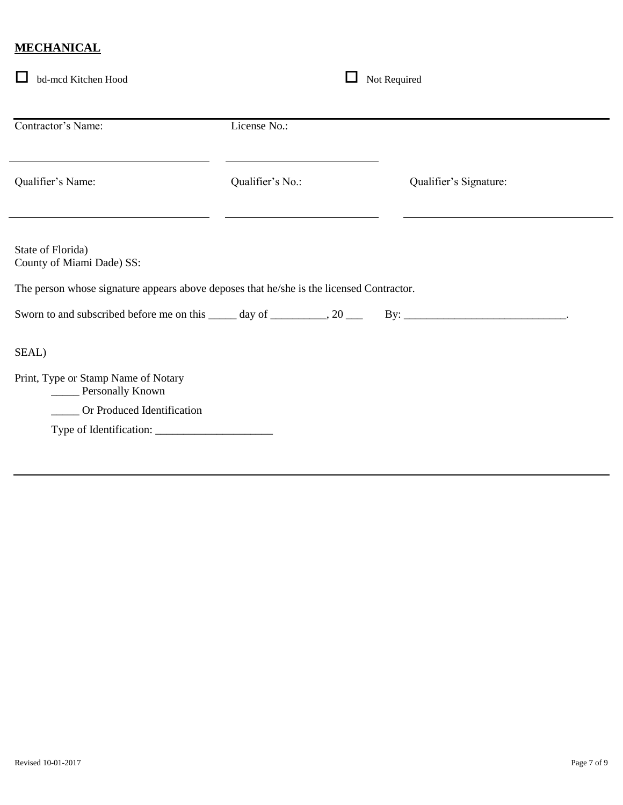### **MECHANICAL**

| bd-mcd Kitchen Hood                                                                                                                                                                                                      | Not Required     |                        |
|--------------------------------------------------------------------------------------------------------------------------------------------------------------------------------------------------------------------------|------------------|------------------------|
| Contractor's Name:                                                                                                                                                                                                       | License No.:     |                        |
| Qualifier's Name:                                                                                                                                                                                                        | Qualifier's No.: | Qualifier's Signature: |
| State of Florida)<br>County of Miami Dade) SS:<br>The person whose signature appears above deposes that he/she is the licensed Contractor.<br>Sworn to and subscribed before me on this ______ day of __________, 20 ___ |                  |                        |
| SEAL)                                                                                                                                                                                                                    |                  |                        |
| Print, Type or Stamp Name of Notary<br>_____ Personally Known<br>_____ Or Produced Identification                                                                                                                        |                  |                        |
|                                                                                                                                                                                                                          |                  |                        |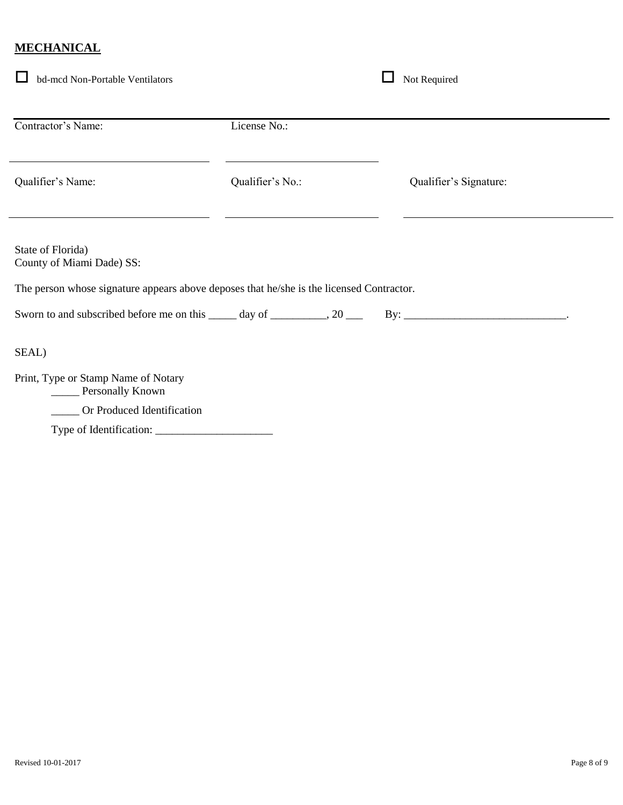### **MECHANICAL**

| bd-mcd Non-Portable Ventilators                                                                                                            |                  | Not Required           |
|--------------------------------------------------------------------------------------------------------------------------------------------|------------------|------------------------|
| Contractor's Name:                                                                                                                         | License No.:     |                        |
| Qualifier's Name:                                                                                                                          | Qualifier's No.: | Qualifier's Signature: |
| State of Florida)<br>County of Miami Dade) SS:<br>The person whose signature appears above deposes that he/she is the licensed Contractor. |                  |                        |
| Sworn to and subscribed before me on this $\_\_\_\_$ day of $\_\_\_\_\_$ , 20 $\_\_\_\_\$<br>SEAL)                                         |                  |                        |
| Print, Type or Stamp Name of Notary<br>Personally Known                                                                                    |                  |                        |
| Or Produced Identification                                                                                                                 |                  |                        |